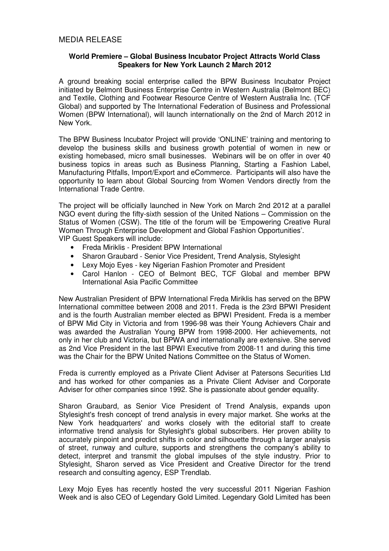# **World Premiere – Global Business Incubator Project Attracts World Class Speakers for New York Launch 2 March 2012**

A ground breaking social enterprise called the BPW Business Incubator Project initiated by Belmont Business Enterprise Centre in Western Australia (Belmont BEC) and Textile, Clothing and Footwear Resource Centre of Western Australia Inc. (TCF Global) and supported by The International Federation of Business and Professional Women (BPW International), will launch internationally on the 2nd of March 2012 in New York.

The BPW Business Incubator Project will provide 'ONLINE' training and mentoring to develop the business skills and business growth potential of women in new or existing homebased, micro small businesses. Webinars will be on offer in over 40 business topics in areas such as Business Planning, Starting a Fashion Label, Manufacturing Pitfalls, Import/Export and eCommerce. Participants will also have the opportunity to learn about Global Sourcing from Women Vendors directly from the International Trade Centre.

The project will be officially launched in New York on March 2nd 2012 at a parallel NGO event during the fifty-sixth session of the United Nations – Commission on the Status of Women (CSW). The title of the forum will be 'Empowering Creative Rural Women Through Enterprise Development and Global Fashion Opportunities'. VIP Guest Speakers will include:

- Freda Miriklis President BPW International
- Sharon Graubard Senior Vice President, Trend Analysis, Stylesight
- Lexy Mojo Eyes key Nigerian Fashion Promoter and President
- Carol Hanlon CEO of Belmont BEC, TCF Global and member BPW International Asia Pacific Committee

New Australian President of BPW International Freda Miriklis has served on the BPW International committee between 2008 and 2011. Freda is the 23rd BPWI President and is the fourth Australian member elected as BPWI President. Freda is a member of BPW Mid City in Victoria and from 1996-98 was their Young Achievers Chair and was awarded the Australian Young BPW from 1998-2000. Her achievements, not only in her club and Victoria, but BPWA and internationally are extensive. She served as 2nd Vice President in the last BPWI Executive from 2008-11 and during this time was the Chair for the BPW United Nations Committee on the Status of Women.

Freda is currently employed as a Private Client Adviser at Patersons Securities Ltd and has worked for other companies as a Private Client Adviser and Corporate Adviser for other companies since 1992. She is passionate about gender equality.

Sharon Graubard, as Senior Vice President of Trend Analysis, expands upon Stylesight's fresh concept of trend analysis in every major market. She works at the New York headquarters' and works closely with the editorial staff to create informative trend analysis for Stylesight's global subscribers. Her proven ability to accurately pinpoint and predict shifts in color and silhouette through a larger analysis of street, runway and culture, supports and strengthens the company's ability to detect, interpret and transmit the global impulses of the style industry. Prior to Stylesight, Sharon served as Vice President and Creative Director for the trend research and consulting agency, ESP Trendlab.

Lexy Mojo Eyes has recently hosted the very successful 2011 Nigerian Fashion Week and is also CEO of Legendary Gold Limited. Legendary Gold Limited has been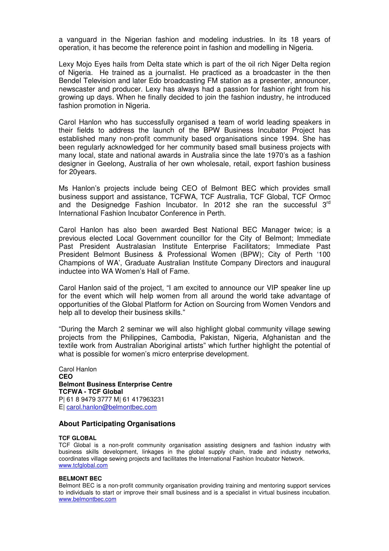a vanguard in the Nigerian fashion and modeling industries. In its 18 years of operation, it has become the reference point in fashion and modelling in Nigeria.

Lexy Mojo Eyes hails from Delta state which is part of the oil rich Niger Delta region of Nigeria. He trained as a journalist. He practiced as a broadcaster in the then Bendel Television and later Edo broadcasting FM station as a presenter, announcer, newscaster and producer. Lexy has always had a passion for fashion right from his growing up days. When he finally decided to join the fashion industry, he introduced fashion promotion in Nigeria.

Carol Hanlon who has successfully organised a team of world leading speakers in their fields to address the launch of the BPW Business Incubator Project has established many non-profit community based organisations since 1994. She has been regularly acknowledged for her community based small business projects with many local, state and national awards in Australia since the late 1970's as a fashion designer in Geelong, Australia of her own wholesale, retail, export fashion business for 20years.

Ms Hanlon's projects include being CEO of Belmont BEC which provides small business support and assistance, TCFWA, TCF Australia, TCF Global, TCF Ormoc and the Designedge Fashion Incubator. In 2012 she ran the successful 3rd International Fashion Incubator Conference in Perth.

Carol Hanlon has also been awarded Best National BEC Manager twice; is a previous elected Local Government councillor for the City of Belmont; Immediate Past President Australasian Institute Enterprise Facilitators; Immediate Past President Belmont Business & Professional Women (BPW); City of Perth '100 Champions of WA', Graduate Australian Institute Company Directors and inaugural inductee into WA Women's Hall of Fame.

Carol Hanlon said of the project, "I am excited to announce our VIP speaker line up for the event which will help women from all around the world take advantage of opportunities of the Global Platform for Action on Sourcing from Women Vendors and help all to develop their business skills."

"During the March 2 seminar we will also highlight global community village sewing projects from the Philippines, Cambodia, Pakistan, Nigeria, Afghanistan and the textile work from Australian Aboriginal artists" which further highlight the potential of what is possible for women's micro enterprise development.

Carol Hanlon **CEO Belmont Business Enterprise Centre TCFWA - TCF Global**  P| 61 8 9479 3777 M| 61 417963231 E| carol.hanlon@belmontbec.com

## **About Participating Organisations**

### **TCF GLOBAL**

TCF Global is a non-profit community organisation assisting designers and fashion industry with business skills development, linkages in the global supply chain, trade and industry networks, coordinates village sewing projects and facilitates the International Fashion Incubator Network. www.tcfglobal.com

### **BELMONT BEC**

Belmont BEC is a non-profit community organisation providing training and mentoring support services to individuals to start or improve their small business and is a specialist in virtual business incubation. www.belmontbec.com